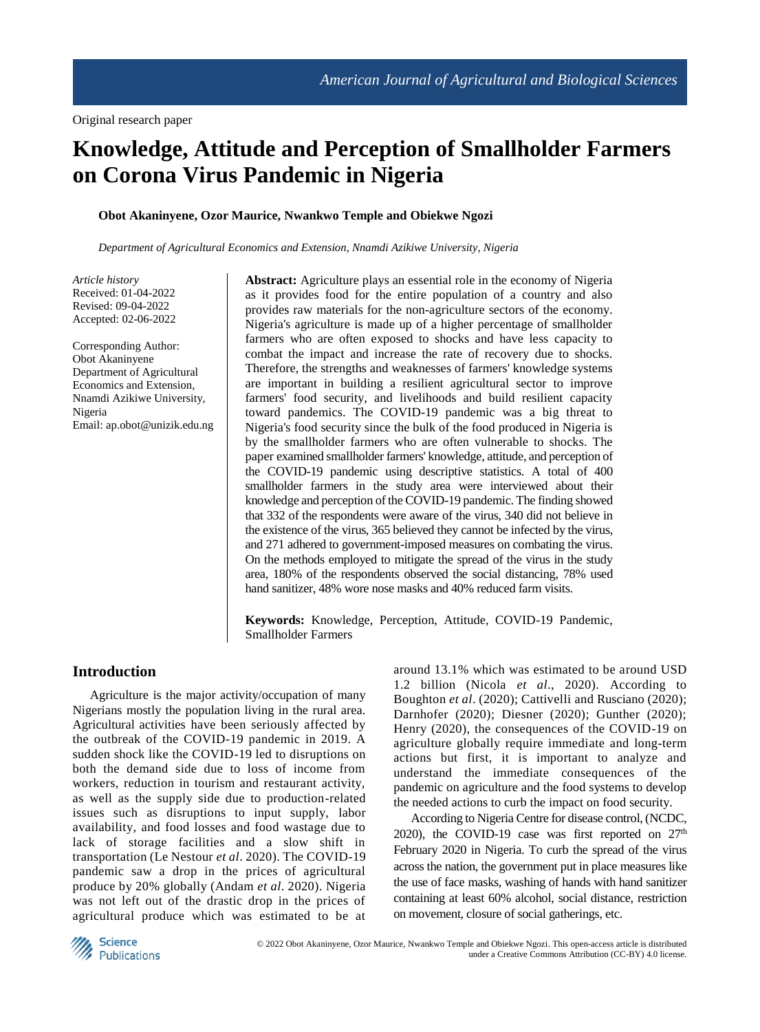# **Knowledge, Attitude and Perception of Smallholder Farmers on Corona Virus Pandemic in Nigeria**

#### **Obot Akaninyene, Ozor Maurice, Nwankwo Temple and Obiekwe Ngozi**

*Department of Agricultural Economics and Extension, Nnamdi Azikiwe University, Nigeria*

*Article history* Received: 01-04-2022 Revised: 09-04-2022 Accepted: 02-06-2022

Corresponding Author: Obot Akaninyene Department of Agricultural Economics and Extension, Nnamdi Azikiwe University, Nigeria Email: ap.obot@unizik.edu.ng **Abstract:** Agriculture plays an essential role in the economy of Nigeria as it provides food for the entire population of a country and also provides raw materials for the non-agriculture sectors of the economy. Nigeria's agriculture is made up of a higher percentage of smallholder farmers who are often exposed to shocks and have less capacity to combat the impact and increase the rate of recovery due to shocks. Therefore, the strengths and weaknesses of farmers' knowledge systems are important in building a resilient agricultural sector to improve farmers' food security, and livelihoods and build resilient capacity toward pandemics. The COVID-19 pandemic was a big threat to Nigeria's food security since the bulk of the food produced in Nigeria is by the smallholder farmers who are often vulnerable to shocks. The paper examined smallholder farmers' knowledge, attitude, and perception of the COVID-19 pandemic using descriptive statistics. A total of 400 smallholder farmers in the study area were interviewed about their knowledge and perception of the COVID-19 pandemic. The finding showed that 332 of the respondents were aware of the virus, 340 did not believe in the existence of the virus, 365 believed they cannot be infected by the virus, and 271 adhered to government-imposed measures on combating the virus. On the methods employed to mitigate the spread of the virus in the study area, 180% of the respondents observed the social distancing, 78% used hand sanitizer, 48% wore nose masks and 40% reduced farm visits.

**Keywords:** Knowledge, Perception, Attitude, COVID-19 Pandemic, Smallholder Farmers

# **Introduction**

Agriculture is the major activity/occupation of many Nigerians mostly the population living in the rural area. Agricultural activities have been seriously affected by the outbreak of the COVID-19 pandemic in 2019. A sudden shock like the COVID-19 led to disruptions on both the demand side due to loss of income from workers, reduction in tourism and restaurant activity, as well as the supply side due to production-related issues such as disruptions to input supply, labor availability, and food losses and food wastage due to lack of storage facilities and a slow shift in transportation (Le Nestour *et al*. 2020). The COVID-19 pandemic saw a drop in the prices of agricultural produce by 20% globally (Andam *et al*. 2020). Nigeria was not left out of the drastic drop in the prices of agricultural produce which was estimated to be at

around 13.1% which was estimated to be around USD 1.2 billion (Nicola *et al*., 2020). According to Boughton *et al*. (2020); Cattivelli and Rusciano (2020); Darnhofer (2020); Diesner (2020); Gunther (2020); Henry (2020), the consequences of the COVID-19 on agriculture globally require immediate and long-term actions but first, it is important to analyze and understand the immediate consequences of the pandemic on agriculture and the food systems to develop the needed actions to curb the impact on food security.

According to Nigeria Centre for disease control, (NCDC, 2020), the COVID-19 case was first reported on  $27<sup>th</sup>$ February 2020 in Nigeria. To curb the spread of the virus across the nation, the government put in place measures like the use of face masks, washing of hands with hand sanitizer containing at least 60% alcohol, social distance, restriction on movement, closure of social gatherings, etc.

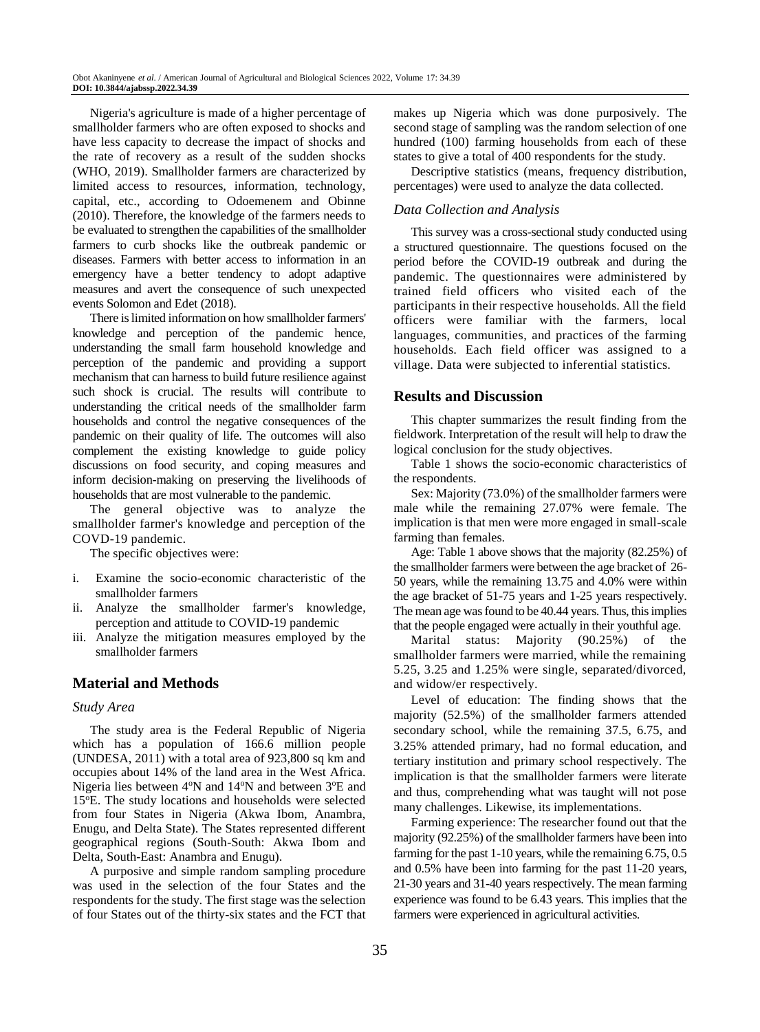Nigeria's agriculture is made of a higher percentage of smallholder farmers who are often exposed to shocks and have less capacity to decrease the impact of shocks and the rate of recovery as a result of the sudden shocks (WHO, 2019). Smallholder farmers are characterized by limited access to resources, information, technology, capital, etc., according to Odoemenem and Obinne (2010). Therefore, the knowledge of the farmers needs to be evaluated to strengthen the capabilities of the smallholder farmers to curb shocks like the outbreak pandemic or diseases. Farmers with better access to information in an emergency have a better tendency to adopt adaptive measures and avert the consequence of such unexpected events Solomon and Edet (2018).

There is limited information on how smallholder farmers' knowledge and perception of the pandemic hence, understanding the small farm household knowledge and perception of the pandemic and providing a support mechanism that can harness to build future resilience against such shock is crucial. The results will contribute to understanding the critical needs of the smallholder farm households and control the negative consequences of the pandemic on their quality of life. The outcomes will also complement the existing knowledge to guide policy discussions on food security, and coping measures and inform decision-making on preserving the livelihoods of households that are most vulnerable to the pandemic.

The general objective was to analyze the smallholder farmer's knowledge and perception of the COVD-19 pandemic.

The specific objectives were:

- i. Examine the socio-economic characteristic of the smallholder farmers
- ii. Analyze the smallholder farmer's knowledge, perception and attitude to COVID-19 pandemic
- iii. Analyze the mitigation measures employed by the smallholder farmers

# **Material and Methods**

#### *Study Area*

The study area is the Federal Republic of Nigeria which has a population of 166.6 million people (UNDESA, 2011) with a total area of 923,800 sq km and occupies about 14% of the land area in the West Africa. Nigeria lies between  $4^{\circ}N$  and  $14^{\circ}N$  and between  $3^{\circ}E$  and 15<sup>o</sup>E. The study locations and households were selected from four States in Nigeria (Akwa Ibom, Anambra, Enugu, and Delta State). The States represented different geographical regions (South-South: Akwa Ibom and Delta, South-East: Anambra and Enugu).

A purposive and simple random sampling procedure was used in the selection of the four States and the respondents for the study. The first stage was the selection of four States out of the thirty-six states and the FCT that makes up Nigeria which was done purposively. The second stage of sampling was the random selection of one hundred (100) farming households from each of these states to give a total of 400 respondents for the study.

Descriptive statistics (means, frequency distribution, percentages) were used to analyze the data collected.

# *Data Collection and Analysis*

This survey was a cross-sectional study conducted using a structured questionnaire. The questions focused on the period before the COVID-19 outbreak and during the pandemic. The questionnaires were administered by trained field officers who visited each of the participants in their respective households. All the field officers were familiar with the farmers, local languages, communities, and practices of the farming households. Each field officer was assigned to a village. Data were subjected to inferential statistics.

## **Results and Discussion**

This chapter summarizes the result finding from the fieldwork. Interpretation of the result will help to draw the logical conclusion for the study objectives.

Table 1 shows the socio-economic characteristics of the respondents.

Sex: Majority (73.0%) of the smallholder farmers were male while the remaining 27.07% were female. The implication is that men were more engaged in small-scale farming than females.

Age: Table 1 above shows that the majority (82.25%) of the smallholder farmers were between the age bracket of 26- 50 years, while the remaining 13.75 and 4.0% were within the age bracket of 51-75 years and 1-25 years respectively. The mean age was found to be 40.44 years. Thus, this implies that the people engaged were actually in their youthful age.

Marital status: Majority (90.25%) of the smallholder farmers were married, while the remaining 5.25, 3.25 and 1.25% were single, separated/divorced, and widow/er respectively.

Level of education: The finding shows that the majority (52.5%) of the smallholder farmers attended secondary school, while the remaining 37.5, 6.75, and 3.25% attended primary, had no formal education, and tertiary institution and primary school respectively. The implication is that the smallholder farmers were literate and thus, comprehending what was taught will not pose many challenges. Likewise, its implementations.

Farming experience: The researcher found out that the majority (92.25%) of the smallholder farmers have been into farming for the past 1-10 years, while the remaining 6.75, 0.5 and 0.5% have been into farming for the past 11-20 years, 21-30 years and 31-40 years respectively. The mean farming experience was found to be 6.43 years. This implies that the farmers were experienced in agricultural activities.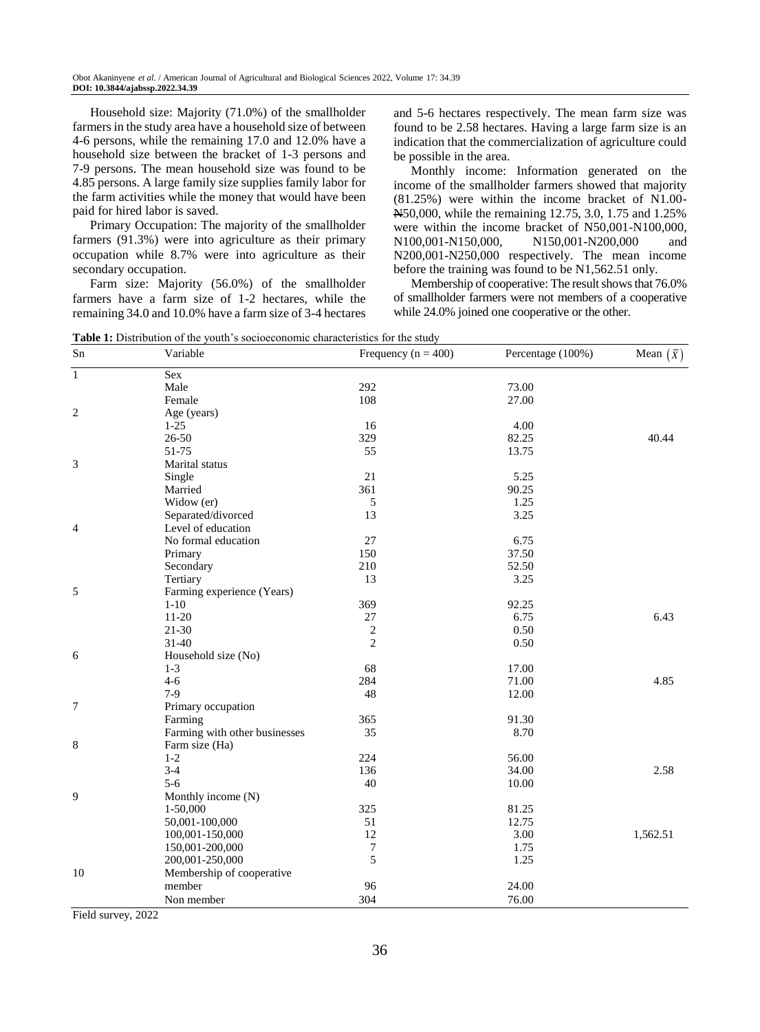Household size: Majority (71.0%) of the smallholder farmers in the study area have a household size of between 4-6 persons, while the remaining 17.0 and 12.0% have a household size between the bracket of 1-3 persons and 7-9 persons. The mean household size was found to be 4.85 persons. A large family size supplies family labor for the farm activities while the money that would have been paid for hired labor is saved.

Primary Occupation: The majority of the smallholder farmers (91.3%) were into agriculture as their primary occupation while 8.7% were into agriculture as their secondary occupation.

Farm size: Majority (56.0%) of the smallholder farmers have a farm size of 1-2 hectares, while the remaining 34.0 and 10.0% have a farm size of 3-4 hectares and 5-6 hectares respectively. The mean farm size was found to be 2.58 hectares. Having a large farm size is an indication that the commercialization of agriculture could be possible in the area.

Monthly income: Information generated on the income of the smallholder farmers showed that majority (81.25%) were within the income bracket of N1.00- N50,000, while the remaining 12.75, 3.0, 1.75 and 1.25% were within the income bracket of N50,001-N100,000, N100,001-N150,000, N150,001-N200,000 and N200,001-N250,000 respectively. The mean income before the training was found to be N1,562.51 only.

Membership of cooperative: The result shows that 76.0% of smallholder farmers were not members of a cooperative while 24.0% joined one cooperative or the other.

| <b>Table 1:</b> Distribution of the youth's socioeconomic characteristics for the study |  |  |
|-----------------------------------------------------------------------------------------|--|--|
|                                                                                         |  |  |

| Sn             | Variable                      | Frequency ( $n = 400$ ) | Percentage (100%) | Mean $(\bar{x})$ |
|----------------|-------------------------------|-------------------------|-------------------|------------------|
| $\overline{1}$ | Sex                           |                         |                   |                  |
|                | Male                          | 292                     | 73.00             |                  |
|                | Female                        | 108                     | 27.00             |                  |
| $\overline{c}$ | Age (years)                   |                         |                   |                  |
|                | $1 - 25$                      | 16                      | 4.00              |                  |
|                | 26-50                         | 329                     | 82.25             | 40.44            |
|                | 51-75                         | 55                      | 13.75             |                  |
| 3              | Marital status                |                         |                   |                  |
|                | Single                        | 21                      | 5.25              |                  |
|                | Married                       | 361                     | 90.25             |                  |
|                | Widow (er)                    | 5                       | 1.25              |                  |
|                | Separated/divorced            | 13                      | 3.25              |                  |
| 4              | Level of education            |                         |                   |                  |
|                | No formal education           | 27                      | 6.75              |                  |
|                | Primary                       | 150                     | 37.50             |                  |
|                | Secondary                     | 210                     | 52.50             |                  |
|                | Tertiary                      | 13                      | 3.25              |                  |
| 5              | Farming experience (Years)    |                         |                   |                  |
|                | $1 - 10$                      | 369                     | 92.25             |                  |
|                | $11 - 20$                     | 27                      | 6.75              | 6.43             |
|                | $21 - 30$                     | $\boldsymbol{2}$        | 0.50              |                  |
|                | $31 - 40$                     | $\overline{2}$          | 0.50              |                  |
| 6              | Household size (No)           |                         |                   |                  |
|                | $1-3$                         | 68                      | 17.00             |                  |
|                | $4 - 6$                       | 284                     | 71.00             | 4.85             |
|                | $7-9$                         | 48                      | 12.00             |                  |
| 7              | Primary occupation            |                         |                   |                  |
|                | Farming                       | 365                     | 91.30             |                  |
|                | Farming with other businesses | 35                      | 8.70              |                  |
| 8              | Farm size (Ha)                |                         |                   |                  |
|                | $1 - 2$                       | 224                     | 56.00             |                  |
|                | $3 - 4$                       | 136                     | 34.00             | 2.58             |
|                | $5 - 6$                       | 40                      | 10.00             |                  |
| 9              | Monthly income (N)            |                         |                   |                  |
|                | 1-50,000                      | 325                     | 81.25             |                  |
|                | 50,001-100,000                | 51                      | 12.75             |                  |
|                | 100,001-150,000               | 12                      | 3.00              | 1,562.51         |
|                | 150,001-200,000               | $\boldsymbol{7}$        | 1.75              |                  |
|                | 200,001-250,000               | 5                       | 1.25              |                  |
| 10             | Membership of cooperative     |                         |                   |                  |
|                | member                        | 96                      | 24.00             |                  |
|                | Non member                    | 304                     | 76.00             |                  |
|                |                               |                         |                   |                  |

Field survey, 2022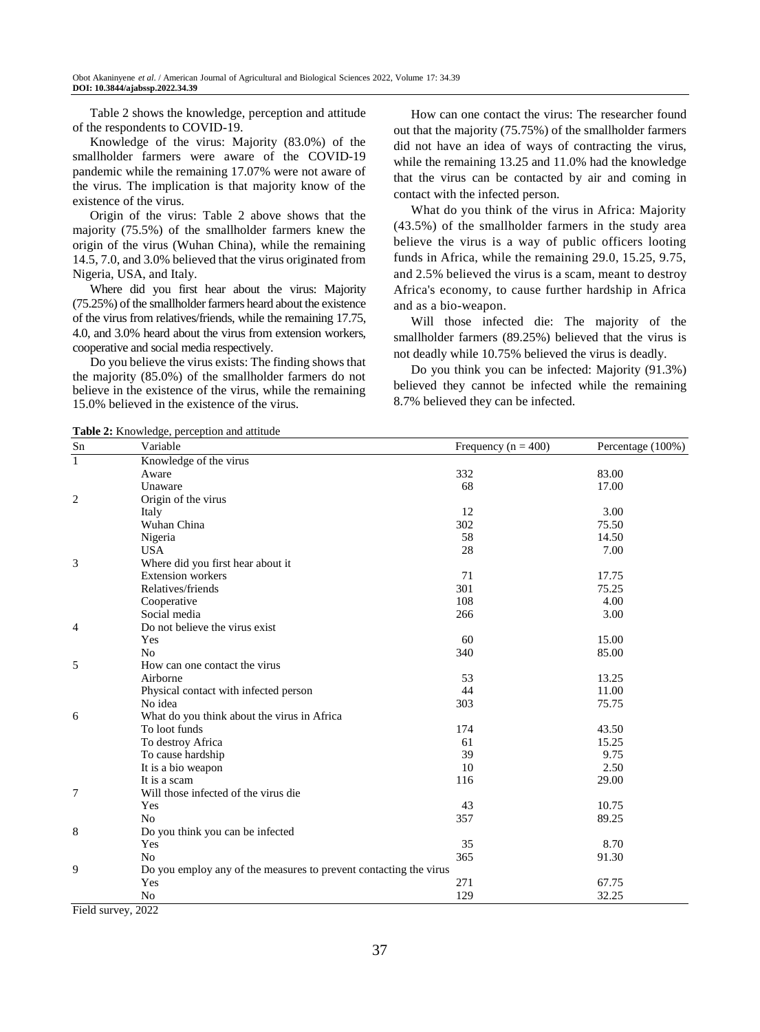Table 2 shows the knowledge, perception and attitude of the respondents to COVID-19.

Knowledge of the virus: Majority (83.0%) of the smallholder farmers were aware of the COVID-19 pandemic while the remaining 17.07% were not aware of the virus. The implication is that majority know of the existence of the virus.

Origin of the virus: Table 2 above shows that the majority (75.5%) of the smallholder farmers knew the origin of the virus (Wuhan China), while the remaining 14.5, 7.0, and 3.0% believed that the virus originated from Nigeria, USA, and Italy.

Where did you first hear about the virus: Majority (75.25%) of the smallholder farmers heard about the existence of the virus from relatives/friends, while the remaining 17.75, 4.0, and 3.0% heard about the virus from extension workers, cooperative and social media respectively.

Do you believe the virus exists: The finding shows that the majority (85.0%) of the smallholder farmers do not believe in the existence of the virus, while the remaining 15.0% believed in the existence of the virus.

How can one contact the virus: The researcher found out that the majority (75.75%) of the smallholder farmers did not have an idea of ways of contracting the virus, while the remaining 13.25 and 11.0% had the knowledge that the virus can be contacted by air and coming in contact with the infected person.

What do you think of the virus in Africa: Majority (43.5%) of the smallholder farmers in the study area believe the virus is a way of public officers looting funds in Africa, while the remaining 29.0, 15.25, 9.75, and 2.5% believed the virus is a scam, meant to destroy Africa's economy, to cause further hardship in Africa and as a bio-weapon.

Will those infected die: The majority of the smallholder farmers (89.25%) believed that the virus is not deadly while 10.75% believed the virus is deadly.

Do you think you can be infected: Majority (91.3%) believed they cannot be infected while the remaining 8.7% believed they can be infected.

**Table 2:** Knowledge, perception and attitude

| Sn             | <b>rapic 2.</b> Knowledge, perception and attitude<br>Variable    | Frequency ( $n = 400$ ) | Percentage (100%) |  |  |  |
|----------------|-------------------------------------------------------------------|-------------------------|-------------------|--|--|--|
| $\overline{1}$ | Knowledge of the virus                                            |                         |                   |  |  |  |
|                | Aware                                                             | 332                     | 83.00             |  |  |  |
|                | Unaware                                                           | 68                      | 17.00             |  |  |  |
| 2              | Origin of the virus                                               |                         |                   |  |  |  |
|                | Italy                                                             | 12                      | 3.00              |  |  |  |
|                | Wuhan China                                                       | 302                     | 75.50             |  |  |  |
|                | Nigeria                                                           | 58                      | 14.50             |  |  |  |
|                | <b>USA</b>                                                        | 28                      | 7.00              |  |  |  |
| 3              | Where did you first hear about it                                 |                         |                   |  |  |  |
|                | <b>Extension</b> workers                                          | 71                      | 17.75             |  |  |  |
|                | Relatives/friends                                                 | 301                     | 75.25             |  |  |  |
|                | Cooperative                                                       | 108                     | 4.00              |  |  |  |
|                | Social media                                                      | 266                     | 3.00              |  |  |  |
| 4              | Do not believe the virus exist                                    |                         |                   |  |  |  |
|                | Yes                                                               | 60                      | 15.00             |  |  |  |
|                | No                                                                | 340                     | 85.00             |  |  |  |
| 5              | How can one contact the virus                                     |                         |                   |  |  |  |
|                | Airborne                                                          | 53                      | 13.25             |  |  |  |
|                | Physical contact with infected person                             | 44                      | 11.00             |  |  |  |
|                | No idea                                                           | 303                     | 75.75             |  |  |  |
| 6              | What do you think about the virus in Africa                       |                         |                   |  |  |  |
|                | To loot funds                                                     | 174                     | 43.50             |  |  |  |
|                | To destroy Africa                                                 | 61                      | 15.25             |  |  |  |
|                | To cause hardship                                                 | 39                      | 9.75              |  |  |  |
|                | It is a bio weapon                                                | 10                      | 2.50              |  |  |  |
|                | It is a scam                                                      | 116                     | 29.00             |  |  |  |
| 7              | Will those infected of the virus die                              |                         |                   |  |  |  |
|                | Yes                                                               | 43                      | 10.75             |  |  |  |
|                | N <sub>0</sub>                                                    | 357                     | 89.25             |  |  |  |
| 8              | Do you think you can be infected                                  |                         |                   |  |  |  |
|                | Yes                                                               | 35                      | 8.70              |  |  |  |
|                | N <sub>o</sub>                                                    | 365                     | 91.30             |  |  |  |
| 9              | Do you employ any of the measures to prevent contacting the virus |                         |                   |  |  |  |
|                | Yes                                                               | 271                     | 67.75             |  |  |  |
|                | No                                                                | 129                     | 32.25             |  |  |  |

Field survey, 2022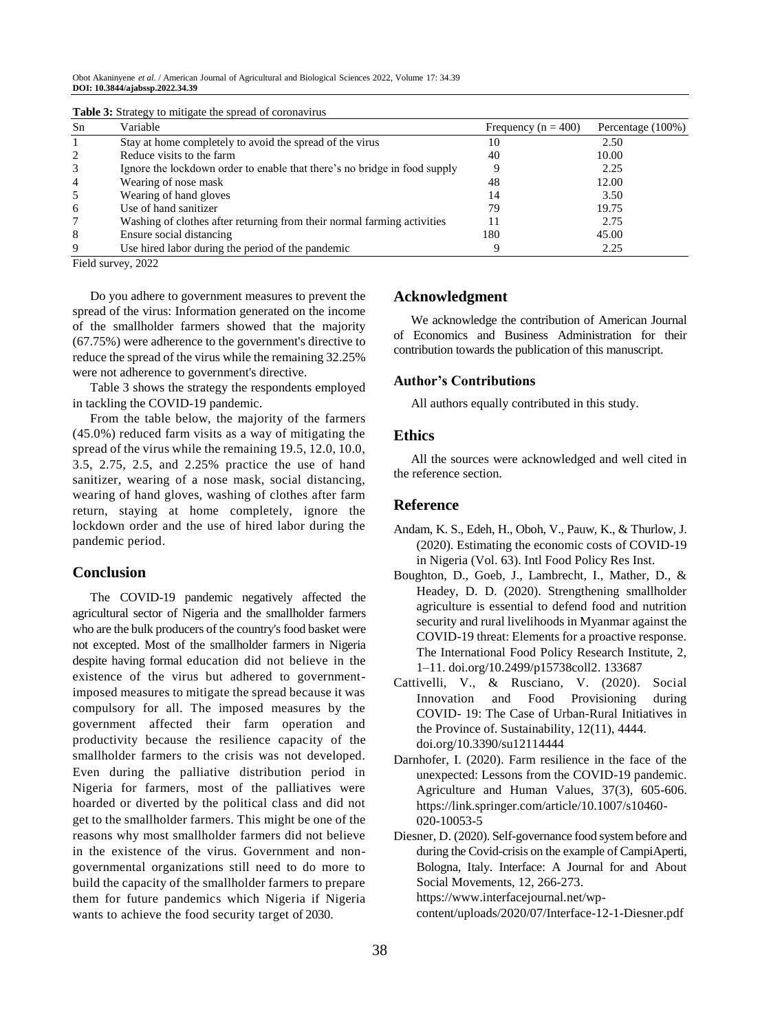Obot Akaninyene *et al*. / American Journal of Agricultural and Biological Sciences 2022, Volume 17: 34.39 **DOI: 10.3844/ajabssp.2022.34.39**

| Sn             | Variable                                                                  | Frequency ( $n = 400$ ) | Percentage (100%) |
|----------------|---------------------------------------------------------------------------|-------------------------|-------------------|
|                | Stay at home completely to avoid the spread of the virus                  | 10                      | 2.50              |
|                | Reduce visits to the farm                                                 | 40                      | 10.00             |
| 3              | Ignore the lockdown order to enable that there's no bridge in food supply |                         | 2.25              |
| $\overline{4}$ | Wearing of nose mask                                                      | 48                      | 12.00             |
| 5              | Wearing of hand gloves                                                    | 14                      | 3.50              |
| -6             | Use of hand sanitizer                                                     | 79                      | 19.75             |
|                | Washing of clothes after returning from their normal farming activities   |                         | 2.75              |
| 8              | Ensure social distancing                                                  | 180                     | 45.00             |
| 9              | Use hired labor during the period of the pandemic                         |                         | 2.25              |

**Table 3:** Strategy to mitigate the spread of coronavirus

Field survey, 2022

Do you adhere to government measures to prevent the spread of the virus: Information generated on the income of the smallholder farmers showed that the majority (67.75%) were adherence to the government's directive to reduce the spread of the virus while the remaining 32.25% were not adherence to government's directive.

Table 3 shows the strategy the respondents employed in tackling the COVID-19 pandemic.

From the table below, the majority of the farmers (45.0%) reduced farm visits as a way of mitigating the spread of the virus while the remaining 19.5, 12.0, 10.0, 3.5, 2.75, 2.5, and 2.25% practice the use of hand sanitizer, wearing of a nose mask, social distancing, wearing of hand gloves, washing of clothes after farm return, staying at home completely, ignore the lockdown order and the use of hired labor during the pandemic period.

# **Conclusion**

The COVID-19 pandemic negatively affected the agricultural sector of Nigeria and the smallholder farmers who are the bulk producers of the country's food basket were not excepted. Most of the smallholder farmers in Nigeria despite having formal education did not believe in the existence of the virus but adhered to governmentimposed measures to mitigate the spread because it was compulsory for all. The imposed measures by the government affected their farm operation and productivity because the resilience capacity of the smallholder farmers to the crisis was not developed. Even during the palliative distribution period in Nigeria for farmers, most of the palliatives were hoarded or diverted by the political class and did not get to the smallholder farmers. This might be one of the reasons why most smallholder farmers did not believe in the existence of the virus. Government and nongovernmental organizations still need to do more to build the capacity of the smallholder farmers to prepare them for future pandemics which Nigeria if Nigeria wants to achieve the food security target of 2030.

## **Acknowledgment**

We acknowledge the contribution of American Journal of Economics and Business Administration for their contribution towards the publication of this manuscript.

#### **Author's Contributions**

All authors equally contributed in this study.

#### **Ethics**

All the sources were acknowledged and well cited in the reference section.

#### **Reference**

- Andam, K. S., Edeh, H., Oboh, V., Pauw, K., & Thurlow, J. (2020). Estimating the economic costs of COVID-19 in Nigeria (Vol. 63). Intl Food Policy Res Inst.
- Boughton, D., Goeb, J., Lambrecht, I., Mather, D., & Headey, D. D. (2020). Strengthening smallholder agriculture is essential to defend food and nutrition security and rural livelihoods in Myanmar against the COVID-19 threat: Elements for a proactive response. The International Food Policy Research Institute, 2, 1–11. [doi.org/10.2499/p15738coll2.](https://doi.org/10.2499/p15738coll2) 133687
- Cattivelli, V., & Rusciano, V. (2020). Social Innovation and Food Provisioning during COVID- 19: The Case of Urban-Rural Initiatives in the Province of. Sustainability, 12(11), 4444. [doi.org/10.3390/su12114444](https://doi.org/10.3390/su12114444)
- Darnhofer, I. (2020). Farm resilience in the face of the unexpected: Lessons from the COVID-19 pandemic. Agriculture and Human Values, 37(3), 605-606. https://link.springer.com/article/10.1007/s10460- 020-10053-5
- Diesner, D. (2020). Self-governance food system before and during the Covid-crisis on the example of CampiAperti, Bologna, Italy. Interface: A Journal for and About Social Movements, 12, 266-273. https://www.interfacejournal.net/wp-

content/uploads/2020/07/Interface-12-1-Diesner.pdf